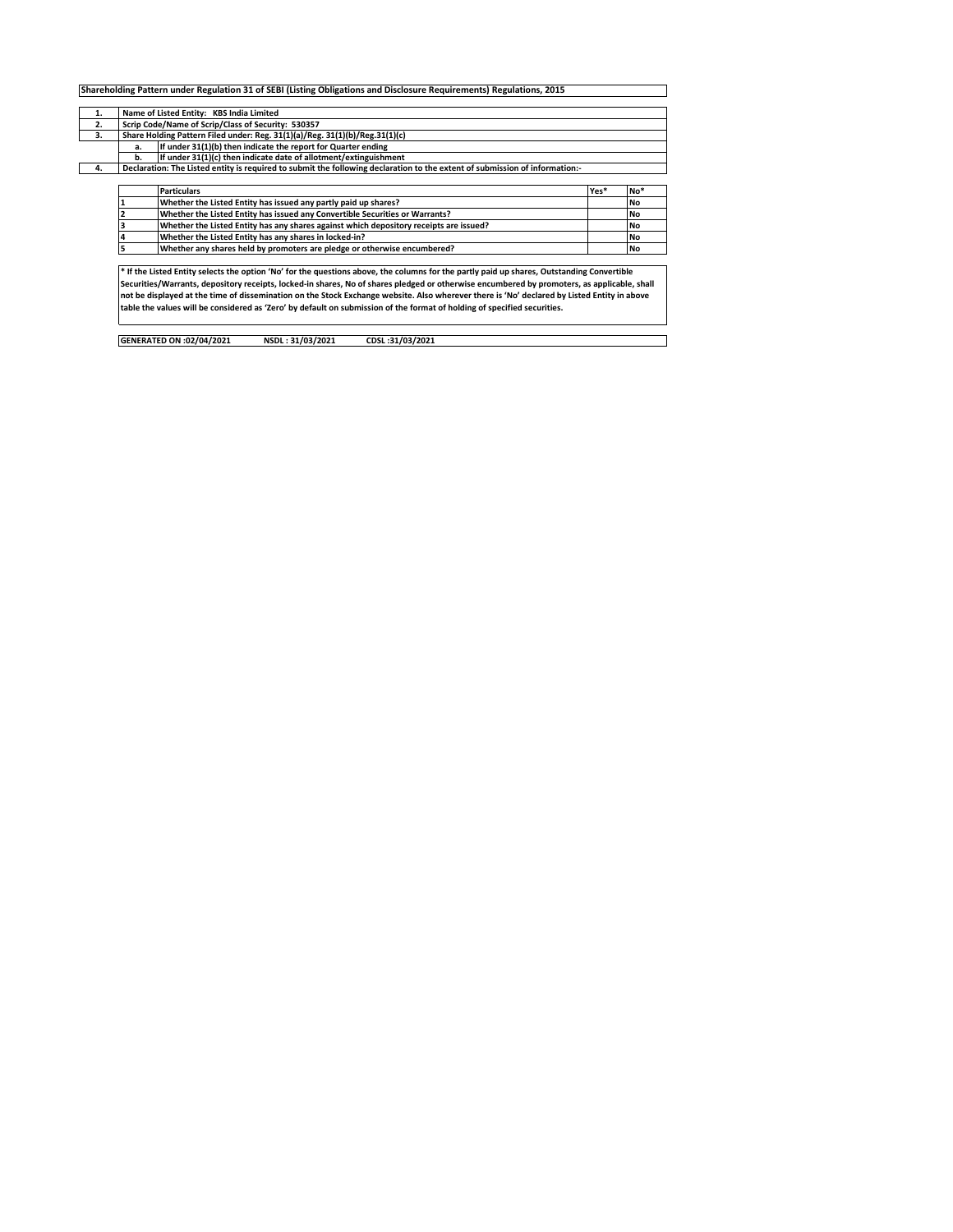| 1. |                                                                             | Name of Listed Entity: KBS India Limited                                                                                    |      |           |  |  |  |  |  |  |  |  |  |  |
|----|-----------------------------------------------------------------------------|-----------------------------------------------------------------------------------------------------------------------------|------|-----------|--|--|--|--|--|--|--|--|--|--|
| 2. |                                                                             | Scrip Code/Name of Scrip/Class of Security: 530357                                                                          |      |           |  |  |  |  |  |  |  |  |  |  |
| 3. | Share Holding Pattern Filed under: Reg. 31(1)(a)/Reg. 31(1)(b)/Reg.31(1)(c) |                                                                                                                             |      |           |  |  |  |  |  |  |  |  |  |  |
|    | If under 31(1)(b) then indicate the report for Quarter ending<br>a.         |                                                                                                                             |      |           |  |  |  |  |  |  |  |  |  |  |
|    | If under 31(1)(c) then indicate date of allotment/extinguishment<br>b.      |                                                                                                                             |      |           |  |  |  |  |  |  |  |  |  |  |
| 4. |                                                                             | Declaration: The Listed entity is required to submit the following declaration to the extent of submission of information:- |      |           |  |  |  |  |  |  |  |  |  |  |
|    |                                                                             |                                                                                                                             |      |           |  |  |  |  |  |  |  |  |  |  |
|    |                                                                             | <b>Particulars</b>                                                                                                          | Yes* | No*       |  |  |  |  |  |  |  |  |  |  |
|    |                                                                             | Whether the Listed Entity has issued any partly paid up shares?                                                             |      | <b>No</b> |  |  |  |  |  |  |  |  |  |  |
|    |                                                                             | Whether the Listed Entity has issued any Convertible Securities or Warrants?                                                |      | <b>No</b> |  |  |  |  |  |  |  |  |  |  |
|    |                                                                             |                                                                                                                             |      |           |  |  |  |  |  |  |  |  |  |  |
|    |                                                                             | Whether the Listed Entity has any shares against which depository receipts are issued?                                      |      | <b>No</b> |  |  |  |  |  |  |  |  |  |  |
|    |                                                                             | Whether the Listed Entity has any shares in locked-in?                                                                      |      | <b>No</b> |  |  |  |  |  |  |  |  |  |  |
|    |                                                                             | Whether any shares held by promoters are pledge or otherwise encumbered?                                                    |      | <b>No</b> |  |  |  |  |  |  |  |  |  |  |

Securities/Warrants, depository receipts, locked-in shares, No of shares pledged or otherwise encumbered by promoters, as applicable, shall<br>not be displayed at the time of dissemination on the Stock Exchange website. Also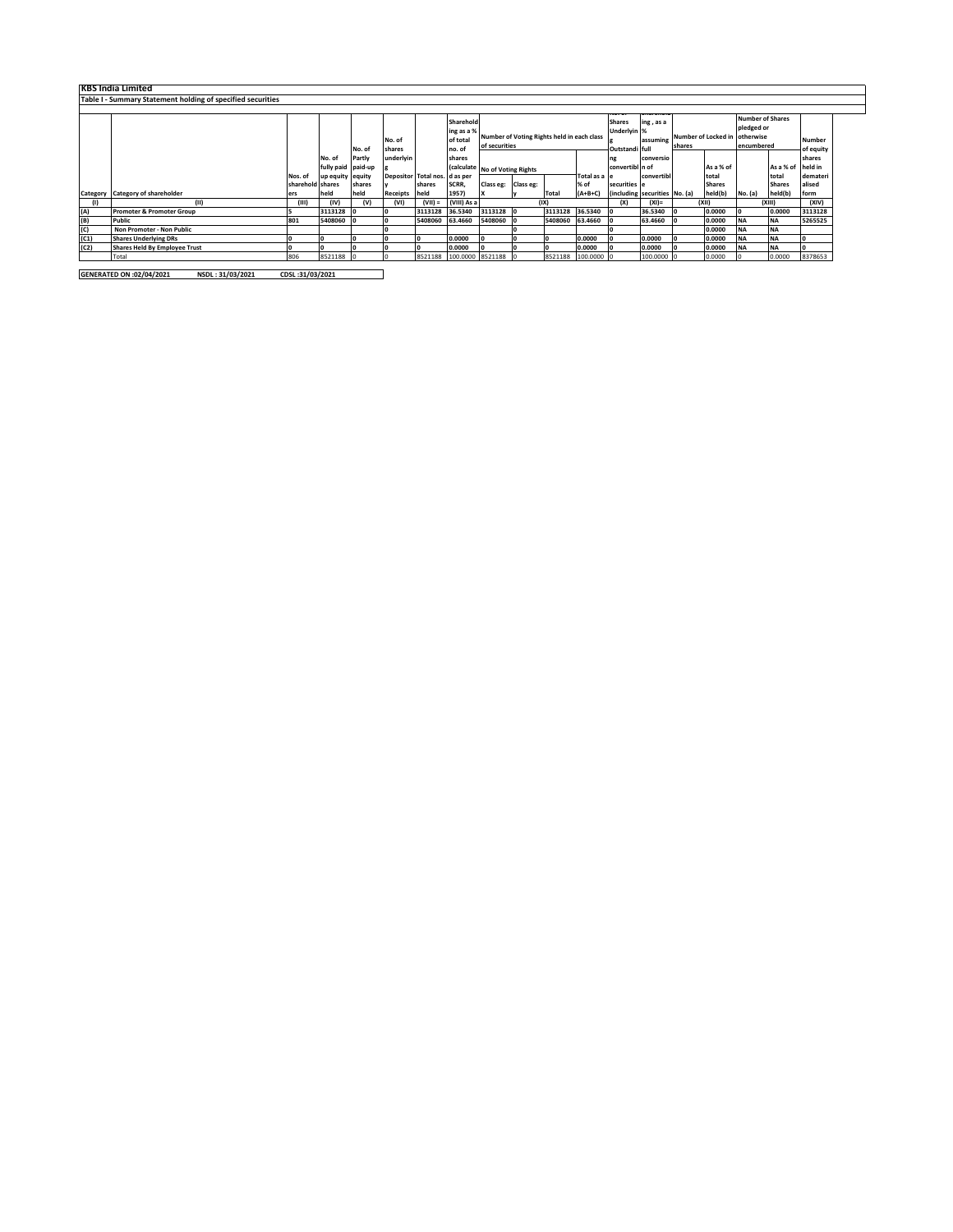|      | <b>KBS India Limited</b>                                    |                  |                    |                  |                     |                               |                                     |                                |                                            |         |                    |                              |                                              |        |                                  |            |                                       |                     |
|------|-------------------------------------------------------------|------------------|--------------------|------------------|---------------------|-------------------------------|-------------------------------------|--------------------------------|--------------------------------------------|---------|--------------------|------------------------------|----------------------------------------------|--------|----------------------------------|------------|---------------------------------------|---------------------|
|      | Table I - Summary Statement holding of specified securities |                  |                    |                  |                     |                               |                                     |                                |                                            |         |                    |                              |                                              |        |                                  |            |                                       |                     |
|      |                                                             |                  |                    |                  | No. of              |                               | Sharehold<br>ing as a %<br>of total | of securities                  | Number of Voting Rights held in each class |         |                    | <b>Shares</b><br>Underlyin % | <del>anarem</del> a<br>ing, as a<br>assuming | shares | Number of Locked in<br>otherwise |            | <b>Number of Shares</b><br>pledged or | Number              |
|      |                                                             |                  | No. of             | No. of<br>Partly | shares<br>underlyin |                               | no. of<br>shares                    |                                |                                            |         |                    | Outstandi full               | conversio                                    |        |                                  | encumbered |                                       | of equity<br>shares |
|      |                                                             |                  | fully paid paid-up |                  |                     |                               |                                     | (calculate No of Voting Rights |                                            |         |                    | convertibl n of              |                                              |        | As a % of                        |            | As a % of                             | held in             |
|      |                                                             | Nos. of          | up equity equity   |                  |                     | Depositor Total nos. d as per |                                     |                                |                                            |         | Total as a le      |                              | convertibl                                   |        | total                            |            | total                                 | demateri            |
|      |                                                             | sharehold shares |                    | shares           |                     | shares                        | SCRR,                               | Class eg: Class eg:            |                                            |         | % of               | securities e                 |                                              |        | <b>Shares</b>                    |            | <b>Shares</b>                         | alised              |
|      | Category Category of shareholder                            | ers              | held               | held             | <b>Receipts</b>     | held                          | 1957)                               |                                |                                            | Total   | $(A+B+C)$          |                              | (including securities No. (a)                |        | held(b)                          | No. (a)    | held(b)                               | form                |
|      | (11)                                                        | (III)            | (IV)               | (V)              | (VI)                | $(VII) =$                     | (VIII) As a                         |                                |                                            | (IX)    |                    | (X)                          | $(XI)$ =                                     |        | (XII)                            |            | (XIII)                                | (XIV)               |
| (A)  | <b>Promoter &amp; Promoter Group</b>                        |                  | 3113128            |                  |                     | 3113128                       | 36.5340                             | 3113128 0                      |                                            |         | 3113128 36.5340 0  |                              | 36.5340                                      |        | 0.0000                           |            | 0.0000                                | 3113128             |
| (B)  | Public                                                      | 801              | 5408060            |                  |                     | 5408060                       | 63.4660                             | 5408060 0                      |                                            | 5408060 | 63.4660            |                              | 63.4660                                      |        | 0.0000                           | <b>NA</b>  | <b>NA</b>                             | 5265525             |
| (C)  | Non Promoter - Non Public                                   |                  |                    |                  |                     |                               |                                     |                                |                                            |         |                    |                              |                                              |        | 0.0000                           | <b>NA</b>  | <b>NA</b>                             |                     |
| (C1) | <b>Shares Underlying DRs</b>                                |                  |                    |                  |                     |                               | 0.0000                              |                                |                                            |         | 0.0000             |                              | 0.0000                                       |        | 0.0000                           | <b>NA</b>  | <b>NA</b>                             |                     |
| (C2) | Shares Held By Employee Trust                               |                  |                    |                  |                     |                               | 0.0000                              |                                |                                            |         | 0.0000             |                              | 0.0000                                       |        | 0.0000                           | <b>NA</b>  | <b>NA</b>                             |                     |
|      | Total                                                       | 806              | 8521188            |                  |                     |                               |                                     | 8521188 100.0000 8521188 0     |                                            |         | 8521188 100.0000 0 |                              | 100.0000                                     |        | 0.0000                           |            | 0.0000                                | 8378653             |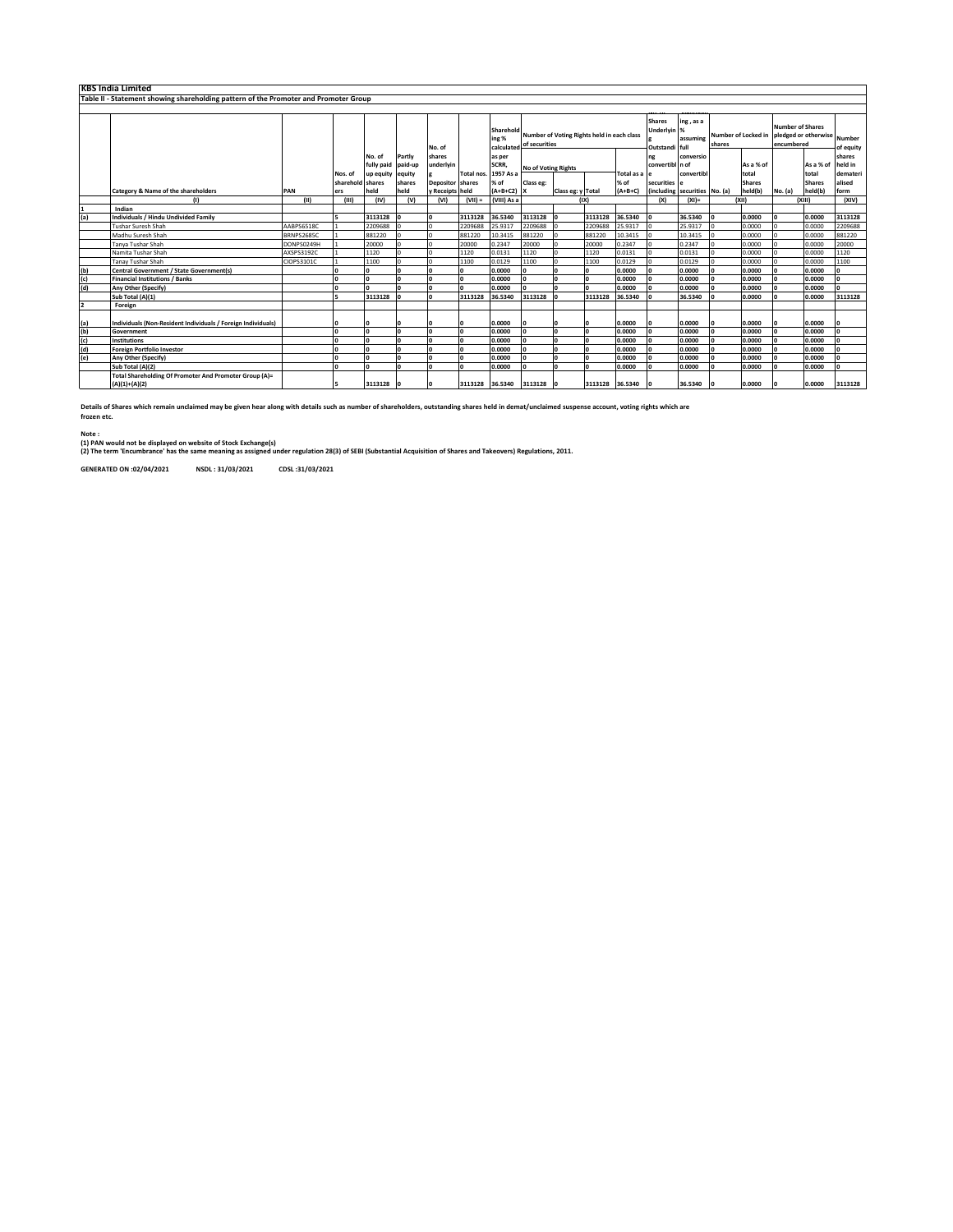|                | <b>KBS India Limited</b>                                                             |                   |                             |            |                  |                  |            |                                            |                            |                                            |                 |                       |                                                      |                                    |        |                        |                                                               |                        |                               |
|----------------|--------------------------------------------------------------------------------------|-------------------|-----------------------------|------------|------------------|------------------|------------|--------------------------------------------|----------------------------|--------------------------------------------|-----------------|-----------------------|------------------------------------------------------|------------------------------------|--------|------------------------|---------------------------------------------------------------|------------------------|-------------------------------|
|                | Table II - Statement showing shareholding pattern of the Promoter and Promoter Group |                   |                             |            |                  |                  |            |                                            |                            |                                            |                 |                       |                                                      |                                    |        |                        |                                                               |                        |                               |
|                |                                                                                      |                   |                             |            |                  |                  |            |                                            |                            |                                            |                 |                       |                                                      |                                    |        |                        |                                                               |                        |                               |
|                |                                                                                      |                   |                             | No. of     | Partly           | No. of<br>shares |            | Sharehold<br>ing %<br>calculated<br>as per | of securities              | Number of Voting Rights held in each class |                 |                       | <b>Shares</b><br>Underlyin %<br>Outstandi full<br>ng | ing, as a<br>assuming<br>conversio | shares | Number of Locked in    | <b>Number of Shares</b><br>pledged or otherwise<br>encumbered |                        | Number<br>of equity<br>shares |
|                |                                                                                      |                   |                             | fully paid | paid-up          | underlyin        |            | <b>SCRR</b>                                | <b>No of Voting Rights</b> |                                            |                 |                       | convertibl n of                                      |                                    |        | As a % of              |                                                               | As a % of              | held in                       |
|                |                                                                                      |                   | Nos. of<br>sharehold shares | up equity  | equity<br>shares | Depositor shares | Total nos. | 1957 As a<br>% of                          | Class eg:                  |                                            |                 | Total as a le<br>% of | securities e                                         | convertibl                         |        | total<br><b>Shares</b> |                                                               | total<br><b>Shares</b> | demateri<br>alised            |
|                | <b>Category &amp; Name of the shareholders</b>                                       | PAN               | ers                         | held       | held             | y Receipts held  |            | $(A+B+C2)$ X                               |                            | Class eg: y Total                          |                 | $(A+B+C)$             |                                                      | (including securities No. (a)      |        | held(b)                | No. (a)                                                       | held(b)                | form                          |
|                | (1)                                                                                  | (11)              | (III)                       | (IV)       | (V)              | (VI)             | $(VII) =$  | (VIII) As a                                |                            |                                            | (IX)            |                       | (X)                                                  | $(XI)$ =                           |        | (XII)                  |                                                               | (XIII)                 | (XIV)                         |
|                | Indian                                                                               |                   |                             |            |                  |                  |            |                                            |                            |                                            |                 |                       |                                                      |                                    |        |                        |                                                               |                        |                               |
| (a)            | <b>Individuals / Hindu Undivided Family</b>                                          |                   |                             | 3113128    |                  |                  | 3113128    | 36.5340                                    | 3113128                    |                                            | 3113128         | 36.5340               | $\sqrt{2}$                                           | 36.5340                            |        | 0.0000                 |                                                               | 0.0000                 | 3113128                       |
|                | Tushar Suresh Shah                                                                   | AABPS6518C        |                             | 2209688    |                  |                  | 2209688    | 25.9317                                    | 2209688                    |                                            | 2209688         | 25.9317               |                                                      | 25.9317                            |        | 0.0000                 |                                                               | 0.0000                 | 2209688                       |
|                | Madhu Suresh Shah                                                                    | <b>BRNPS2685C</b> |                             | 881220     |                  |                  | 881220     | 10.3415                                    | 881220                     |                                            | 881220          | 10.3415               |                                                      | 10.3415                            |        | 0.0000                 |                                                               | 0.0000                 | 881220                        |
|                | Tanya Tushar Shah                                                                    | DONPS0249H        |                             | 20000      |                  |                  | 20000      | 0.2347                                     | 20000                      |                                            | 20000           | 0.2347                |                                                      | 0.2347                             |        | 0.0000                 |                                                               | 0.0000                 | 20000                         |
|                | Namita Tushar Shah                                                                   | AXSPS3192C        |                             | 1120       |                  |                  | 1120       | 0.0131                                     | 1120                       |                                            | 1120            | 0.0131                |                                                      | 0.0131                             |        | 0.0000                 |                                                               | 0.0000                 | 1120                          |
|                | Tanay Tushar Shah                                                                    | CIOPS3101C        |                             | 1100       |                  |                  | 1100       | 0.0129                                     | 1100                       |                                            | 1100            | 0.0129                |                                                      | 0.0129                             |        | 0.0000                 |                                                               | 0.0000                 | 1100                          |
| (b)            | <b>Central Government / State Government(s)</b>                                      |                   |                             |            |                  |                  |            | 0.0000                                     |                            |                                            |                 | 0.0000                |                                                      | 0.0000                             |        | 0.0000                 |                                                               | 0.0000                 |                               |
| (c)            | <b>Financial Institutions / Banks</b>                                                |                   |                             |            |                  |                  | <b>O</b>   | 0.0000                                     |                            |                                            |                 | 0.0000                |                                                      | 0.0000                             |        | 0.0000                 |                                                               | 0.0000                 |                               |
| (d)            | Any Other (Specify)                                                                  |                   |                             |            |                  |                  | n          | 0.0000                                     |                            |                                            |                 | 0.0000                |                                                      | 0.0000                             |        | 0.0000                 |                                                               | 0.0000                 |                               |
|                | Sub Total (A)(1)                                                                     |                   |                             | 3113128    |                  |                  | 3113128    | 36.5340                                    | 3113128                    |                                            | 3113128         | 36.5340               |                                                      | 36.5340                            |        | 0.0000                 |                                                               | 0.0000                 | 3113128                       |
| $\overline{2}$ | Foreign                                                                              |                   |                             |            |                  |                  |            |                                            |                            |                                            |                 |                       |                                                      |                                    |        |                        |                                                               |                        |                               |
|                | Individuals (Non-Resident Individuals / Foreign Individuals)                         |                   |                             |            |                  |                  |            | 0.0000                                     | I٥                         |                                            |                 | 0.0000                | $\Omega$                                             | 0.0000                             |        | 0.0000                 |                                                               | 0.0000                 |                               |
| $(a)$<br>$(b)$ | Government                                                                           |                   |                             |            |                  |                  | n          | 0.0000                                     |                            |                                            |                 | 0.0000                |                                                      | 0.0000                             |        | 0.0000                 |                                                               | 0.0000                 |                               |
| (c)            | Institutions                                                                         |                   |                             |            |                  |                  | $\Omega$   | 0.0000                                     |                            |                                            |                 | 0.0000                |                                                      | 0.0000                             |        | 0.0000                 |                                                               | 0.0000                 |                               |
| (d)            | <b>Foreign Portfolio Investor</b>                                                    |                   |                             |            |                  |                  | <b>O</b>   | 0.0000                                     | n                          | n                                          |                 | 0.0000                | $\mathbf{r}$                                         | 0.0000                             |        | 0.0000                 |                                                               | 0.0000                 |                               |
| (e)            | Any Other (Specify)                                                                  |                   |                             |            |                  |                  | n          | 0.0000                                     |                            |                                            |                 | 0.0000                |                                                      | 0.0000                             |        | 0.0000                 |                                                               | 0.0000                 |                               |
|                | Sub Total (A)(2)                                                                     |                   |                             |            |                  |                  |            | 0.0000                                     |                            |                                            |                 | 0.0000                |                                                      | 0.0000                             |        | 0.0000                 |                                                               | 0.0000                 |                               |
|                | Total Shareholding Of Promoter And Promoter Group (A)=<br>$(A)(1)+(A)(2)$            |                   |                             | 3113128    |                  |                  | 3113128    | 36.5340                                    | 3113128                    |                                            | 3113128 36.5340 |                       |                                                      | 36.5340                            |        | 0.0000                 |                                                               | 0.0000                 | 3113128                       |

**Details of Shares which remain unclaimed may be given hear along with details such as number of shareholders, outstanding shares held in demat/unclaimed suspense account, voting rights which are frozen etc.**

**Note :**

(1) PAN would not be displayed on website of Stock Exchange(s)<br>(2) The term 'Encumbrance' has the same meaning as assigned under regulation 28(3) of SEBI (Substantial Acquisition of Shares and Takeovers) Regulations, 2011.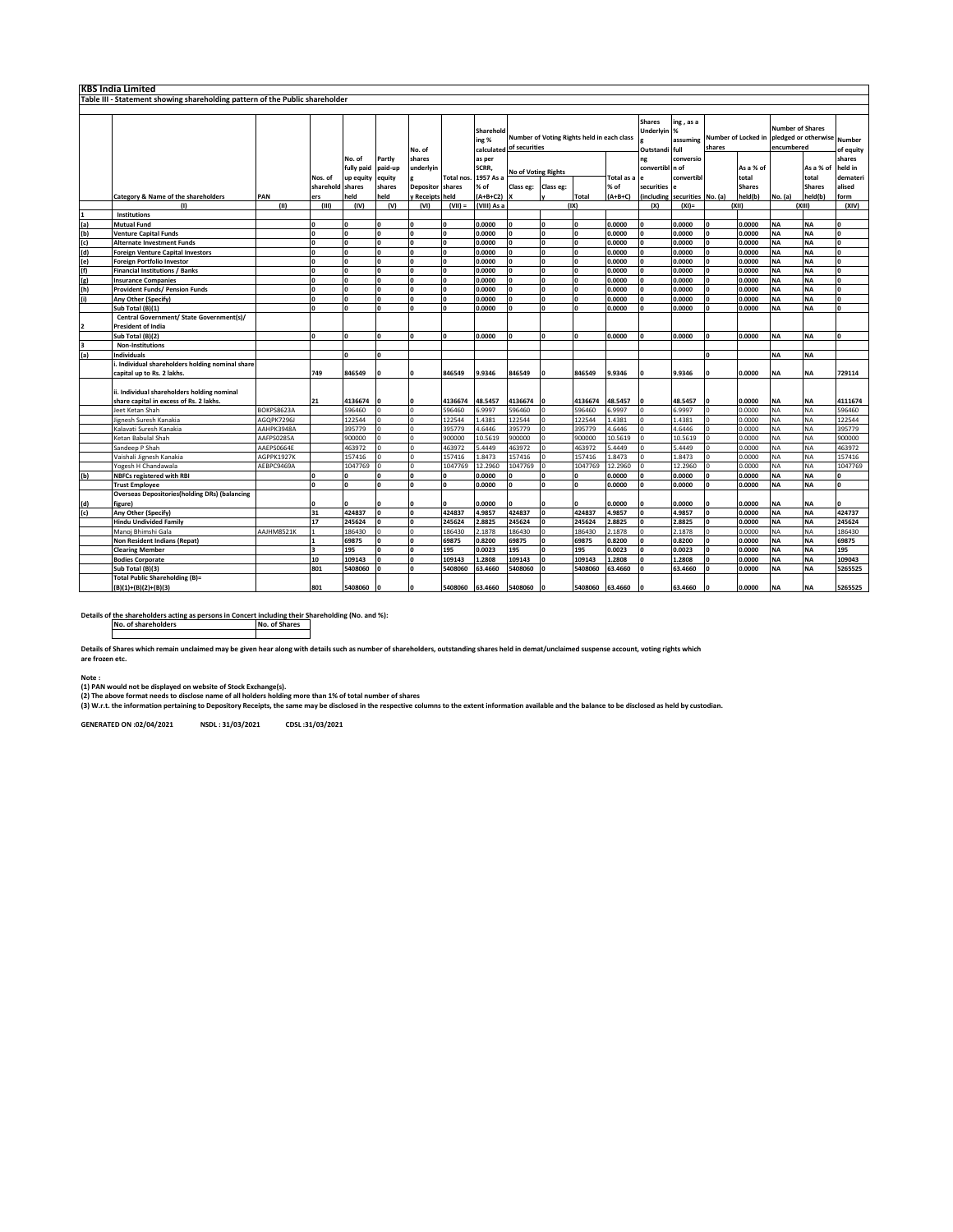| <b>KBS India Limited</b> |                                                                              |            |                  |              |              |                      |                  |                                  |                                                             |              |              |            |                                           |                               |                               |               |                                                               |               |                            |
|--------------------------|------------------------------------------------------------------------------|------------|------------------|--------------|--------------|----------------------|------------------|----------------------------------|-------------------------------------------------------------|--------------|--------------|------------|-------------------------------------------|-------------------------------|-------------------------------|---------------|---------------------------------------------------------------|---------------|----------------------------|
|                          | Table III - Statement showing shareholding pattern of the Public shareholder |            |                  |              |              |                      |                  |                                  |                                                             |              |              |            |                                           |                               |                               |               |                                                               |               |                            |
|                          |                                                                              |            |                  |              |              |                      |                  |                                  |                                                             |              |              |            |                                           |                               |                               |               |                                                               |               |                            |
|                          |                                                                              |            |                  |              |              | No. of               |                  | Sharehold<br>ing %<br>calculated | Number of Voting Rights held in each class<br>of securities |              |              |            | <b>Shares</b><br>Underlyin %<br>Outstandi | ing, as a<br>assuming<br>full | Number of Locked in<br>shares |               | <b>Number of Shares</b><br>pledged or otherwise<br>encumbered |               | <b>Number</b><br>of equity |
|                          |                                                                              |            |                  | No. of       | Partly       | shares               |                  | as per                           |                                                             |              |              |            | ng                                        | conversio                     |                               |               |                                                               |               | shares                     |
|                          |                                                                              |            |                  | fully paid   | paid-up      | underlyin            |                  | SCRR,                            |                                                             |              |              |            | convertibl n of                           |                               |                               | As a % of     |                                                               | As a % of     | held in                    |
|                          |                                                                              |            | Nos. of          | up equity    | equity       |                      | <b>Total nos</b> | 1957 As a                        | <b>No of Voting Rights</b>                                  |              |              | Total as a |                                           | convertibl                    |                               | total         |                                                               | total         | demateri                   |
|                          |                                                                              |            | sharehold shares |              | shares       | <b>Depositor</b>     | shares           | % of                             | Class eg:                                                   | Class eg:    |              | % of       | securities                                |                               |                               | <b>Shares</b> |                                                               | <b>Shares</b> | alised                     |
|                          | Category & Name of the shareholders                                          | PAN        | ers              | held         | held         | y Receipts held      |                  | $(A+B+C2)$                       |                                                             |              | <b>Total</b> | (A+B+C)    | (including                                | securities No. (a)            |                               | held(b)       | No. (a)                                                       | held(b)       | form                       |
|                          | (1)                                                                          | (II)       | (III)            | (IV)         | (V)          | (VI)                 | $(VII) =$        | (VIII) As a                      |                                                             |              | (IX)         |            | (X)                                       | $(XI) =$                      |                               | (XII)         |                                                               | (XIII)        | (XIV)                      |
|                          | Institutions                                                                 |            |                  |              |              |                      |                  |                                  |                                                             |              |              |            |                                           |                               |                               |               |                                                               |               |                            |
| (a)                      | Mutual Fund                                                                  |            | O                | $\mathbf{0}$ | $\mathbf{0}$ | $\mathbf{0}$         | $\mathbf{0}$     | 0.0000                           |                                                             | $\mathbf{0}$ | $\Omega$     | 0.0000     | $\Omega$                                  | 0.0000                        | $\Omega$                      | 0.0000        | <b>NA</b>                                                     | <b>NA</b>     |                            |
| (b)                      | <b>Venture Capital Funds</b>                                                 |            | O                | ١o           | $\Omega$     | 0                    | $\Omega$         | 0.0000                           |                                                             | $\Omega$     | $\Omega$     | 0.0000     | $\Omega$                                  | 0.0000                        | O                             | 0.0000        | <b>NA</b>                                                     | <b>NA</b>     | o                          |
| (c)                      | Alternate Investment Funds                                                   |            | n                | $\Omega$     | $\mathbf{0}$ | $\mathbf{0}$         | $\mathbf{0}$     | 0.0000                           |                                                             | O            | $\mathbf{r}$ | 0.0000     | $\mathbf{a}$                              | 0.0000                        | $\Omega$                      | 0.0000        | NA                                                            | <b>NA</b>     | o                          |
| (d)                      | Foreign Venture Capital Investors                                            |            | O                | ١o           | $\mathbf{0}$ | $\mathbf{0}$         | $\mathbf{0}$     | 0.0000                           |                                                             | $\mathbf{0}$ | $\Omega$     | 0.0000     | $\Omega$                                  | 0.0000                        | $\mathbf{0}$                  | 0.0000        | <b>NA</b>                                                     | <b>NA</b>     | $\mathbf{0}$               |
| (e)                      | Foreign Portfolio Investor                                                   |            | 'n               | I٥           | $\mathbf{0}$ | $\mathbf 0$          | $\mathbf{o}$     | 0.0000                           |                                                             | $\mathbf{o}$ | $\mathbf{r}$ | 0.0000     | $\mathbf{a}$                              | 0.0000                        | O                             | 0.0000        | <b>NA</b>                                                     | <b>NA</b>     | $\mathbf{0}$               |
| (f)                      | <b>Financial Institutions / Banks</b>                                        |            | O                | ١o           | $\mathbf{0}$ | $\mathbf 0$          | $\mathbf{o}$     | 0.0000                           |                                                             | 0            | $\mathbf{0}$ | 0.0000     | $\Omega$                                  | 0.0000                        | O                             | 0.0000        | <b>NA</b>                                                     | <b>NA</b>     | 0                          |
| (g)                      | <b>Insurance Companies</b>                                                   |            | n                | n            | $\mathbf{0}$ | $\mathbf{0}$         | $\mathbf{0}$     | 0.0000                           |                                                             | $\Omega$     | $\mathbf{r}$ | 0.0000     | n                                         | 0.0000                        | $\mathbf{0}$                  | 0.0000        | <b>NA</b>                                                     | <b>NA</b>     | $\mathbf{0}$               |
| (h)                      | <b>Provident Funds/ Pension Funds</b>                                        |            | n                | ١o           | $\mathbf{0}$ | $\mathbf{0}$         | $\mathbf{0}$     | 0.0000                           |                                                             | $\mathbf{0}$ | $\mathbf{r}$ | 0.0000     |                                           | 0.0000                        | $\mathbf{0}$                  | 0.0000        | <b>NA</b>                                                     | <b>NA</b>     | $\mathbf{0}$               |
| (i)                      | Any Other (Specify)                                                          |            | 'n               | ١o           | $\mathbf{0}$ | $\mathbf{0}$         | $\mathbf{o}$     | 0.0000                           |                                                             | $\mathbf{o}$ | $\Omega$     | 0.0000     | $\Omega$                                  | 0.0000                        | O                             | 0.0000        | <b>NA</b>                                                     | <b>NA</b>     | $\mathbf 0$                |
|                          | Sub Total (B)(1)                                                             |            | 'n               | <b>n</b>     | O            | $\mathbf 0$          | $\mathbf{0}$     | 0.0000                           |                                                             | $\Omega$     | $\mathbf{r}$ | 0.0000     | $\mathbf{a}$                              | 0.0000                        | $\mathbf{0}$                  | 0.0000        | <b>NA</b>                                                     | <b>NA</b>     | 0                          |
|                          | Central Government/ State Government(s)/                                     |            |                  |              |              |                      |                  |                                  |                                                             |              |              |            |                                           |                               |                               |               |                                                               |               |                            |
| $\overline{2}$           | <b>President of India</b>                                                    |            |                  |              |              |                      |                  |                                  |                                                             |              |              |            |                                           |                               |                               |               |                                                               |               |                            |
|                          | Sub Total (B)(2)                                                             |            | O                | $\Omega$     | $\mathbf{0}$ | $\mathbf 0$          | $\mathbf{0}$     | 0.0000                           |                                                             | $\mathbf{0}$ | $\Omega$     | 0.0000     | $\Omega$                                  | 0.0000                        | $\mathbf{0}$                  | 0.0000        | <b>NA</b>                                                     | <b>NA</b>     | $\mathbf{0}$               |
| 3                        | <b>Non-Institutions</b>                                                      |            |                  |              |              |                      |                  |                                  |                                                             |              |              |            |                                           |                               |                               |               |                                                               |               |                            |
| (a)                      | Individuals                                                                  |            |                  | $\mathbf{0}$ | $\mathbf{0}$ |                      |                  |                                  |                                                             |              |              |            |                                           |                               | n                             |               | <b>NA</b>                                                     | <b>NA</b>     |                            |
|                          | Individual shareholders holding nominal share                                |            |                  |              |              |                      |                  |                                  |                                                             |              |              |            |                                           |                               |                               |               |                                                               |               |                            |
|                          | capital up to Rs. 2 lakhs.                                                   |            | 749              | 846549       |              | 0                    | 846549           | 9.9346                           | 846549                                                      | $\Omega$     | 846549       | 9.9346     | O                                         | 9.9346                        |                               | 0.0000        | <b>NA</b>                                                     | ΝA            | 729114                     |
|                          |                                                                              |            |                  |              |              |                      |                  |                                  |                                                             |              |              |            |                                           |                               |                               |               |                                                               |               |                            |
|                          | ii. Individual shareholders holding nominal                                  |            |                  |              |              |                      |                  |                                  |                                                             |              |              |            |                                           |                               |                               |               |                                                               |               |                            |
|                          | share capital in excess of Rs. 2 lakhs.                                      |            | 21               | 4136674      |              | 0                    | 4136674          | 48.5457                          | 4136674                                                     |              | 4136674      | 48.5457    |                                           | 48.5457                       |                               | 0.0000        | <b>NA</b>                                                     | ΝA            | 4111674                    |
|                          | leet Ketan Shah                                                              | BOKPS8623A |                  | 596460       | Ò            | $\Omega$             | 596460           | 6.9997                           | 596460                                                      |              | 596460       | 5.9997     | $\Omega$                                  | 6.9997                        |                               | 0.0000        | <b>NA</b>                                                     | <b>NA</b>     | 596460                     |
|                          | lignesh Suresh Kanakia                                                       | AGOPK7296J |                  | 122544       |              | $\Omega$             | 122544           | 1.4381                           | 122544                                                      |              | 122544       | L.4381     |                                           | 1.4381                        |                               | 0.0000        | <b>NA</b>                                                     | <b>NA</b>     | 122544                     |
|                          | Kalavati Suresh Kanakia                                                      | AAHPK3948A |                  | 395779       | Ó            | $\Omega$             | 395779           | 4.6446                           | 395779                                                      |              | 395779       | 4.6446     | $\Omega$                                  | 4.6446                        | $\Omega$                      | 0.0000        | <b>NA</b>                                                     | <b>NA</b>     | 395779                     |
|                          | Ketan Babulal Shah                                                           | AAFPS0285A |                  | 900000       | O            | 0                    | 900000           | 10.5619                          | 900000                                                      |              | 900000       | 10.5619    |                                           | 10.5619                       |                               | 0.0000        | NA                                                            | <b>NA</b>     | 900000                     |
|                          | Sandeep P Shah                                                               | AAEPS0664E |                  | 463972       | ń            | $\Omega$             | 463972           | 5.4449                           | 463972                                                      |              | 463972       | 5.4449     |                                           | 5.4449                        |                               | 0.0000        | NA                                                            | <b>NA</b>     | 463972                     |
|                          | Vaishali Jignesh Kanakia                                                     | AGPPK1927K |                  | 157416       |              |                      | 157416           | 1.8473                           | 157416                                                      |              | 157416       | 1.8473     |                                           | 1.8473                        |                               | 0.0000        | NA                                                            | <b>NA</b>     | 157416                     |
|                          | Yogesh H Chandawala                                                          | AEBPC9469A |                  | 1047769      | $\Omega$     | $\Omega$             | 1047769          | 12.2960                          | 1047769                                                     |              | 1047769      | 12.2960    |                                           | 12.2960                       | $\Omega$                      | 0.0000        | NA                                                            | NΑ            | 1047769                    |
| (b)                      | <b>NBFCs registered with RBI</b>                                             |            | O                | $\Omega$     | O            | 0                    | $\mathbf{0}$     | 0.0000                           |                                                             | $\Omega$     | $\Omega$     | 0.0000     | $\Omega$                                  | 0.0000                        | O                             | 0.0000        | <b>NA</b>                                                     | <b>NA</b>     | o                          |
|                          | <b>Trust Employee</b>                                                        |            | 'n               | $\mathbf 0$  | O            | $\mathbf 0$          | $\mathbf{0}$     | 0.0000                           |                                                             | $\mathbf{0}$ | $\mathbf{r}$ | 0.0000     | $\mathbf{a}$                              | 0.0000                        | $\mathbf{0}$                  | 0.0000        | <b>NA</b>                                                     | <b>NA</b>     | o                          |
|                          | <b>Overseas Depositories(holding DRs) (balancing</b>                         |            |                  |              |              |                      |                  |                                  |                                                             |              |              |            |                                           |                               |                               |               |                                                               |               |                            |
| (d)                      | figure)                                                                      |            | n                | $\Omega$     | n            | n                    | n                | 0.0000                           |                                                             | n            | $\mathbf{r}$ | 0.0000     | 0                                         | 0.0000                        |                               | 0.0000        | <b>NA</b>                                                     | <b>NA</b>     |                            |
| (c)                      | Any Other (Specify)                                                          |            | 31               | 424837       | O            | $\Omega$             | 424837           | 4.9857                           | 424837                                                      | $\mathbf{0}$ | 424837       | 1.9857     |                                           | 4.9857                        |                               | 0.0000        | <b>NA</b>                                                     | <b>NA</b>     | 424737                     |
|                          | <b>Hindu Undivided Family</b>                                                |            | 17               | 245624       |              | n<br>$\Omega$        | 245624           | 2.8825                           | 245624                                                      |              | 245624       | 2.8825     |                                           | 2.8825                        | n                             | 0.0000        | NA                                                            | <b>NA</b>     | 245624                     |
|                          | Manoj Bhimshi Gala                                                           | AAJHM8521K |                  | 186430       | $\Omega$     |                      | 186430           | 2.1878                           | 186430                                                      | $\Omega$     | 186430       | 2.1878     |                                           | 2.1878                        |                               | 0.0000        | <b>NA</b>                                                     | <b>NA</b>     | 186430                     |
|                          | Non Resident Indians (Repat)                                                 |            |                  | 69875        | o            | $\mathbf 0$          | 69875            | 0.8200                           | 69875                                                       | $\Omega$     | 69875        | 0.8200     | $\Omega$                                  | 0.8200                        | $\mathbf{0}$                  | 0.0000        | <b>NA</b>                                                     | <b>NA</b>     | 69875                      |
|                          | <b>Clearing Member</b>                                                       |            |                  | 195          | O            | 0                    | 195              | 0.0023                           | 195                                                         | O            | 195          | 0.0023     |                                           | 0.0023                        | O                             | 0.0000        | <b>NA</b>                                                     | <b>NA</b>     | 195                        |
|                          | <b>Bodies Corporate</b>                                                      |            | 10<br>801        | 109143       | O            | $\Omega$<br>$\Omega$ | 109143           | 1.2808                           | 109143                                                      |              | 109143       | 1.2808     |                                           | 1.2808                        |                               | 0.0000        | <b>NA</b><br><b>NA</b>                                        | <b>NA</b>     | 109043                     |
|                          | Sub Total (B)(3)<br><b>Total Public Shareholding (B)=</b>                    |            |                  | 5408060      |              |                      | 5408060          | 63.4660                          | 5408060                                                     |              | 5408060      | 63.4660    |                                           | 63.4660                       |                               | 0.0000        |                                                               | <b>NA</b>     | 5265525                    |
|                          |                                                                              |            | 801              | 5408060      |              | $\Omega$             | 5408060          | 63.4660                          | 5408060                                                     |              | 5408060      | 63.4660    |                                           | 63.4660                       |                               | 0.0000        | <b>NA</b>                                                     | <b>NA</b>     | 5265525                    |
|                          | (B)(1)+(B)(2)+(B)(3)                                                         |            |                  |              |              |                      |                  |                                  |                                                             |              |              |            |                                           |                               |                               |               |                                                               |               |                            |

**Details of the shareholders acting as persons in Concert including their Shareholding (No. and %): No. of shareholders No. of Shares**

**Details of Shares which remain unclaimed may be given hear along with details such as number of shareholders, outstanding shares held in demat/unclaimed suspense account, voting rights which are frozen etc.**

**Note : (1) PAN would not be displayed on website of Stock Exchange(s).** 

(2) The above format needs to disclose name of all holders holding more than 1% of total number of shares<br>(3) W.r.t. the information pertaining to Depository Receipts, the same may be disclosed in the respective columns to